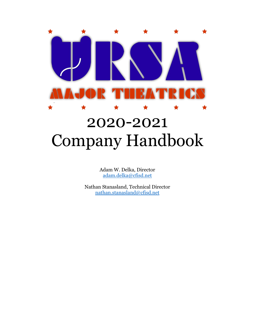# ★ ★

# 2020-2021 Company Handbook

Adam W. Delka, Director [adam.delka@cfisd.net](mailto:adam.delka@cfisd.net)

Nathan Stanasland, Technical Director [nathan.stanasland@cfisd.net](mailto:nathan.stanasland@cfisd.net)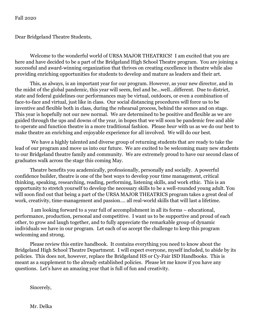Fall 2020

Dear Bridgeland Theatre Students,

Welcome to the wonderful world of URSA MAJOR THEATRICS! I am excited that you are here and have decided to be a part of the Bridgeland High School Theatre program. You are joining a successful and award-winning organization that thrives on creating excellence in theatre while also providing enriching opportunities for students to develop and mature as leaders and their art.

This, as always, is an important year for our program. However, as your new director, and in the midst of the global pandemic, this year will seem, feel and be…well…different. Due to district, state and federal guidelines our performances may be virtual, outdoors, or even a combination of face-to-face and virtual, just like in class. Our social distancing procedures will force us to be inventive and flexible both in class, during the rehearsal process, behind the scenes and on stage. This year is hopefully not our new normal. We are determined to be positive and flexible as we are guided through the ups and downs of the year, in hopes that we will soon be pandemic free and able to operate and function theatre in a more traditional fashion. Please *bear* with us as we do our best to make theatre an enriching and enjoyable experience for all involved. We will do our best.

We have a highly talented and diverse group of returning students that are ready to take the lead of our program and move us into our future. We are excited to be welcoming many new students to our Bridgeland theatre family and community. We are extremely proud to have our second class of graduates walk across the stage this coming May.

Theatre benefits you academically, professionally, personally and socially. A powerful confidence builder, theatre is one of the best ways to develop your time management, critical thinking, speaking, researching, reading, performing, listening skills, and work ethic. This is an opportunity to stretch yourself to develop the necessary skills to be a well-rounded young adult. You will soon find out that being a part of the URSA MAJOR THEATRICS program takes a great deal of work, creativity, time-management and passion…. all real-world skills that will last a lifetime.

I am looking forward to a year full of accomplishment in all its forms – educational, performance, production, personal and competitive. I want us to be supportive and proud of each other, to grow and laugh together, and to fully appreciate the remarkable group of dynamic individuals we have in our program. Let each of us accept the challenge to keep this program welcoming and strong.

Please review this entire handbook. It contains everything you need to know about the Bridgeland High School Theatre Department. I will expect everyone, myself included, to abide by its policies. This does not, however, replace the Bridgeland HS or Cy-Fair ISD Handbooks. This is meant as a supplement to the already established policies. Please let me know if you have any questions. Let's have an amazing year that is full of fun and creativity.

Sincerely,

Mr. Delka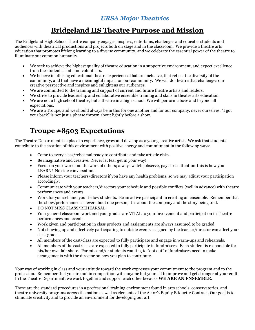### *URSA Major Theatrics*

# **Bridgeland HS Theatre Purpose and Mission**

The Bridgeland High School Theatre company engages, inspires, entertains, challenges and educates students and audiences with theatrical productions and projects both on stage and in the classroom. We provide a theatre arts education that promotes lifelong learning to a diverse community, and we celebrate the essential power of the theatre to illuminate our common humanity.

- We seek to achieve the highest quality of theatre education in a supportive environment, and expect excellence from the students, staff and volunteers.
- We believe in offering educational theatre experiences that are inclusive, that reflect the diversity of the community, and that have a meaningful impact on our community. We will do theatre that challenges our creative perspective and inspires and enlightens our audiences.
- We are committed to the training and support of current and future theatre artists and leaders.
- We strive to provide leadership and collaborative ensemble training and skills in theatre arts education.
- We are not a high school theatre, but a theatre in a high school. We will perform above and beyond all expectations.
- We are a Troupe, and we should always be in this for one another and for our company, never ourselves. "I got your back" is not just a phrase thrown about lightly before a show.

# **Troupe #8503 Expectations**

The Theatre Department is a place to experience, grow and develop as a young creative artist. We ask that students contribute to the creation of this environment with positive energy and commitment in the following ways:

- Come to every class/rehearsal ready to contribute and take artistic risks.
- Be imaginative and creative. Never let fear get in your way!
- Focus on your work and the work of others; always watch, observe, pay close attention-this is how you LEARN! No side conversations.
- Please inform your teachers/directors if you have any health problems, so we may adjust your participation accordingly.
- Communicate with your teachers/directors your schedule and possible conflicts (well in advance) with theatre performances and events.
- Work for yourself and your fellow students. Be an active participant in creating an ensemble. Remember that the show/performance is never about one person, it is about the company and the story being told.
- DO NOT MISS CLASS/REHEARSAL!
- Your general classroom work and your grades are VITAL to your involvement and participation in Theatre performances and events.
- Work given and participation in class projects and assignments are always assumed to be graded.
- Not showing up and effectively participating to outside events assigned by the teacher/director can affect your class grade.
- All members of the cast/class are expected to fully participate and engage in warm-ups and rehearsals.
- All members of the cast/class are expected to fully participate in fundraisers. Each student is responsible for his/her own fair share. Parents and/or students wanting to "opt out" of fundraisers need to make arrangements with the director on how you plan to contribute.

Your way of working in class and your attitude toward the work expresses your commitment to the program and to the profession. Remember that you are not in competition with anyone but yourself to improve and get stronger at your craft. In the Theatre Department, we work together and support each other because **WE ARE AN ENSEMBLE**.

These are the standard procedures in a professional training environment found in arts schools, conservatories, and theatre university programs across the nation as well as elements of the Actor's Equity Etiquette Contract. Our goal is to stimulate creativity and to provide an environment for developing our art.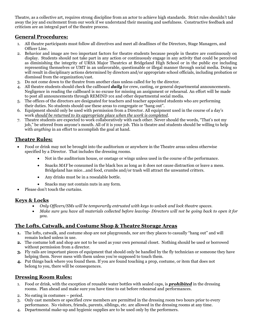Theatre, as a collective art, requires strong discipline from an actor to achieve high standards. Strict rules shouldn't take away the joy and excitement from our work if we understand their meaning and usefulness. Constructive feedback and criticism are an integral part of the theatre process.

#### **General Procedures:**

- 1. All theatre participants must follow all directives and meet all deadlines of the Directors, Stage Managers, and Officer Line.
- 2. Behavior and image are two important factors for theatre students because people in theatre are continuously on display. Students should not take part in any action or continuously engage in any activity that could be perceived as diminishing the integrity of URSA Major Theatrics at Bridgeland High School or in the public eye including representing themselves or UMT in an unfavorable, questionable or illegal manner through social media. Doing so will result in disciplinary actions determined by directors and/or appropriate school officials, including probation or dismissal from the organization/cast.
- 3. Do not come down to the theatre from another class unless called for by the director.
- 4. All theatre students should check the callboard *daily* for crew, casting, or general departmental announcements. Negligence in reading the callboard is no excuse for missing an assignment or rehearsal. An effort will be made to post all announcements through REMIND 101 and other departmental social media.
- 5. The offices of the directors are designated for teachers and teacher appointed students who are performing their duties. No students should use these areas to congregate or "hang out".
- 6. Equipment should only be used with permission from a Director. All equipment used in the course of a day's work *should be returned to its appropriate place when the work is completed*.
- 7. Theatre students are expected to work collaboratively with each other. Never should the words, "That's not my job," be uttered from anyone's mouth. All of it is your job. This is theatre and students should be willing to help with *anything* in an effort to accomplish the goal at hand.

#### **Theatre Rules:**

- Food or drink may not be brought into the auditorium or anywhere in the Theatre areas unless otherwise specified by a Director. That includes the dressing rooms.
	- Not in the auditorium house, or onstage or wings unless used in the course of the performance.
	- Snacks *MAY* be consumed in the black box as long as it does not cause distraction or leave a mess. Bridgeland has mice…and food, crumbs and/or trash will attract the unwanted critters.
	- Any drinks must be in a resealable bottle.
	- Snacks may not contain nuts in any form.
- Please don't touch the curtains.

#### **Keys & Locks**

- *Only Officers/SMs will be temporarily entrusted with keys to unlock and lock theatre spaces.*
- *Make sure you have all materials collected before leaving- Directors will not be going back to open it for you.*

#### **The Lofts, Catwalk, and Costume Shop & Theatre Storage Areas**

- **1.** The lofts, catwalk, and costume shop are not playgrounds, nor are they places to casually "hang out" and will remain locked unless in use.
- **2.** The costume loft and shop are not to be used as your own personal closet. Nothing should be used or borrowed without permission from a director.
- **3.** Fly rails are important pieces of equipment that should only be handled by the fly technician or someone they have helping them. Never mess with them unless you're supposed to touch them.
- **4.** Put things back where you found them. If you are found touching a prop, costume, or item that does not belong to you, there will be consequences.

#### **Dressing Room Rules:**

- 1. Food or drink, with the exception of reusable water bottles with sealed caps, is *prohibited* in the dressing rooms. Plan ahead and make sure you have time to eat before rehearsal and performances.
- 2. No eating in costumes period.
- 3. Only cast members or specified crew members are permitted in the dressing room two hours prior to every performance. No visitors, friends, parents, siblings, etc. are allowed in the dressing rooms at any time.
- 4. Departmental make-up and hygienic supplies are to be used only by the performers.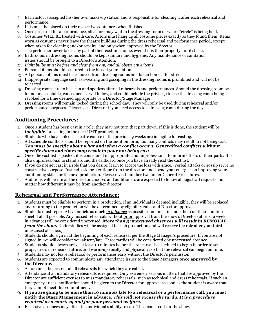- 5. Each actor is assigned his/her own make-up station and is responsible for cleaning it after each rehearsal and performance.
- 6. Lids must be placed on their respective containers when finished.
- 7. Once prepared for a performance, all actors may wait in the dressing room or where "circle" is being held.
- 8. Costumes WILL BE treated with care. Actors must hang up all costume pieces exactly as they found them. Items worn as costumes never leave the theatre building during the dress rehearsal and performance period, except when taken for cleaning and/or repairs, and only when approved by the Director.
- 9. The performer never takes any part of their costume home, even if it is their property, until strike.
- 10. Bathrooms in dressing rooms should be kept sanitary and hygienic. Any maintenance or sanitation issues should be brought to a Director's attention.
- *11. Light bulbs must be free and clear from any and all obstructive items.*
- 12. Personal items should be stored in the bins at your station.
- 13. All personal items must be removed from dressing rooms and taken home after strike.
- 14. Inappropriate language such as swearing and gossiping in the dressing rooms is prohibited and will not be tolerated.
- 15. Dressing rooms are to be clean and spotless after all rehearsals and performances. Should the dressing room be found unacceptable, consequences will follow, and could include the privilege to use the dressing room being revoked for a time deemed appropriate by a Director/Stage Manager.
- 16. Dressing rooms will remain locked during the school day. They will only be used during rehearsal and/or performance purposes. Please see a Director if you need access to a dressing room during the day.

#### **Auditioning Procedures:**

- 1. Once a student has been cast in a role, they may not turn that part down. If this is done, the student will be *ineligible* for casting in the next UMT production.
- 2. Students who have failed a Theatre course in the previous 9 weeks are ineligible for casting.
- 3. All schedule conflicts should be reported on the audition form, too many conflicts may result in not being cast. *You must be specific about what and when a conflict occurs. Generalized conflicts without specific dates and times may result in your not being cast.*
- 4. Once the cast list is posted, it is considered inappropriate and unprofessional to inform others of their parts. It is also unprofessional to stand around the callboard once you have already read the cast list.
- 5. If you do not get cast in a role that you desire, learn to accept the loss with grace. Verbal attacks or gossip serve no constructive purpose. Instead, ask for a critique from the director, and spend your energies on improving your auditioning skills for the next production. Please revisit number two under General Procedures.
- 6. Auditions will be run as the director chooses and auditioners are expected to follow all logistical requests, no matter how different it may be from another director.

#### **Rehearsal and Performance Attendance:**

- 1. Students must be eligible to perform in a production. If an individual is deemed ineligible, they will be replaced, and returning to the production will be determined by eligibility rules and Director approval.
- **2.** Students must report ALL conflicts as much *in advance* as possible and must include them on their audition sheet if at all possible. Any missed rehearsals without prior approval from the show's Director (at least a week in advance) will be considered unexcused. *More than 3 unexcused absences will result in REMOVAL from the show.* Understudies will be assigned to each production and will receive the role after your third unexcused absence.
- 3. Students should sign in at the beginning of each rehearsal per the Stage Manager's procedure. If you are not signed in, we will consider you absent/late. Three tardies will be considered one unexcused absence.
- 4. Students should always arrive at least 10 minutes before the rehearsal is scheduled to begin in order to set props, dress in rehearsal attire, and warm-up vocally and physically, so that the rehearsal can begin on time.
- 5. Students may not leave rehearsal or performances early without the Director's permission.
- **6.** Students are expected to communicate any attendance issues to the Stage Managers **once approved by the Director.**
- 7. Actors must be present at all rehearsals for which they are called.
- 8. Attendance at all mandatory rehearsals is required. Only extremely serious matters that are approved by the Director are sufficient excuses to miss mandatory rehearsals, such as technical and dress rehearsals. If such an emergency arises, notification should be given to the Director for approval as soon as the student is aware that they cannot meet this commitment.
- *9.* **If you are going to be more than 10 minutes late to a rehearsal or a performance call, you must notify the Stage Management in advance.** *This will not excuse the tardy. It is a procedure required as a courtesy and for your personal welfare.*
- 10. Excessive absences may affect the individual's ability to earn Thespian credit for the show.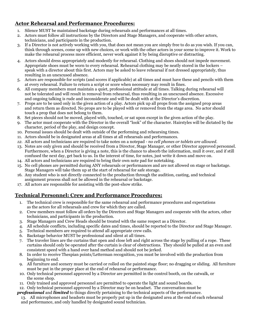#### **Actor Rehearsal and Performance Procedures:**

- 1. Silence MUST be maintained backstage during rehearsals and performances at all times.
- 2. Actors must follow all instructions by the Directors and Stage Managers, and cooperate with other actors, technicians, and participants in the production.
- 3. If a Director is not actively working with you, that does not mean you are simply free to do as you wish. If you can, think through scenes, come up with new choices, or work with the other actors in your scene to improve it. Work to make the rehearsal process more efficient, never work against it by being disruptive or distracting.
- 4. Actors should dress appropriately and modestly for rehearsal. Clothing and shoes should not impede movement. Appropriate shoes must be worn to every rehearsal. Rehearsal clothing may be neatly stored in the lockers – speak with a director about this first. Actors may be asked to leave rehearsal if not dressed appropriately, thus resulting in an unexcused absence.
- 5. Actors are responsible for scripts (and scores if applicable) at all times and must have these and pencils with them at every rehearsal. Failure to return a script or score when necessary may result in fines.
- 6. All company members must maintain a quiet, professional attitude at all times. Talking during rehearsal will not be tolerated and will result in removal from rehearsal, thus resulting in an unexcused absence. Excessive and ongoing talking is rude and inconsiderate and will be dealt with at the Director's discretion.
- 7. Props are to be used only in the given action of a play. Actors pick up all props from the assigned prop areas and return them as directed. No props are to be played with or removed from the stage area. No actor should touch a prop that does not belong to them.
- 8. Set pieces should not be moved, played with, touched, or sat upon except in the given action of the play.
- 9. The actor must cooperate with the Director in the overall "look" of the character. Hairstyles will be dictated by the character, period of the play, and design concept.
- 10. Personal issues should be dealt with outside of the performing and rehearsing times.
- 11. Actors should be in designated areas at all times at all rehearsals and performances.
- *12.* All actors and technicians are required to take notes on a notepad *no cell phones or tablets are allowed.*
- 13. Notes are only given and should be received from a Director, Stage Manager, or other Director approved personnel. Furthermore, when a Director is giving a note, this is the chance to absorb the information, mull it over, and if still confused the next day, get back to us. In the interest of time, for notes, just write it down and move on.
- 14. All actors and technicians are required to bring their own note pad for notetaking.
- 15. No cell phones are permitted during ANY rehearsals or performances and are not allowed on stage or backstage. Stage Managers will take them up at the start of rehearsal for safe storage.
- 16. Any student who is not directly connected to the production through the audition, casting, and technical assignment process shall not be allowed in the rehearsal or backstage.
- 17. All actors are responsible for assisting with the post-show strike.

#### **Technical Personnel: Crew and Performance Procedures:**

- 1. The technical crew is responsible for the same rehearsal and performance procedures and expectations as the actors for all rehearsals and crew for which they are called.
- 2. Crew members must follow all orders by the Directors and Stage Managers and cooperate with the actors, other technicians, and participants in the production.
- 3. Stage Managers and Crew Heads should be treated with the same respect as a Director.
- 4. All schedule conflicts, including specific dates and times, should be reported to the Director and Stage Manager.
- 5. Technical members are required to attend all appropriate crew calls.
- 6. Backstage behavior MUST be professional and silent at all times.
- 7. The traveler lines are the curtains that open and close left and right across the stage by pulling of a rope. These curtains should only be operated after the curtain is clear of obstructions. They should be pulled at an even and consistent speed with a hand over hand method and should not be jerked.
- 8. In order to receive Thespian points/Letterman recognition, you must be involved with the production from beginning to end.
- 9. All furniture and scenery must be carried or rolled on the painted stage floor; no dragging or sliding. All furniture must be put in the proper place at the end of rehearsal or performance.
- 10. Only technical personnel approved by a Director are permitted in the control booth, on the catwalk, or the scene shop.
- 11. Only trained and approved personnel are permitted to operate the light and sound boards.
- 12. Only technical personnel approved by a Director may be on headset. The conversation must be
- *professional* and *limited* to things directly pertaining to the technical aspects of the performance.
	- 13. All microphones and headsets must be properly put up in the designated area at the end of each rehearsal and performance, and only handled by designated sound technician.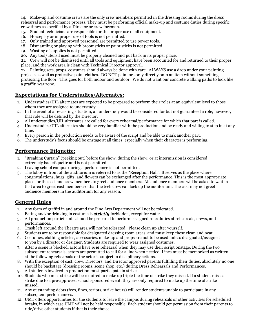14. Make-up and costume crews are the only crew members permitted in the dressing rooms during the dress rehearsal and performance process. They must be performing official make-up and costume duties during specific crew times as specified by a Director or crew foreman.

- 15. Student technicians are responsible for the proper use of all equipment.
- 16. Horseplay or improper use of tools is not permitted.
- 17. Only trained and approved personnel are permitted to use power tools.
- 18. Dismantling or playing with broomsticks or paint sticks is not permitted.
- 19. Wasting of supplies is not permitted.
- 20. Any tool/utensil used must be properly cleaned and put back in its proper place.

21. Crew will not be dismissed until all tools and equipment have been accounted for and returned to their proper place, and the work area is clean with Technical Director approval.

22. Painting sets, props, costumes should always be done with care. ALWAYS use a drop under your painting projects as well as protective paint clothes. DO NOT paint or spray directly onto an item without something protecting the floor. This goes for both indoor and outdoor. We do not want our concrete walking paths to look like a graffiti war zone.

#### **Expectations for Understudies/Alternates:**

- 1. Understudies/UIL alternates are expected to be prepared to perform their roles at an equivalent level to those whom they are assigned to understudy.
- 2. In the event of a re-casting situation, an understudy would be considered for but not guaranteed a role; however, that role will be defined by the Director.
- 3. All understudies/UIL alternates are called for every rehearsal/performance for which that part is called.
- 4. Understudies/UIL alternates should be very familiar with the production and be ready and willing to step in at any time.
- 5. Every person in the production needs to be aware of the script and be able to mark another part.
- 6. The understudy's focus should be onstage at all times, especially when their character is performing.

#### **Performance Etiquette:**

- 1. "Breaking Curtain" (peeking out) before the show, during the show, or at intermission is considered extremely bad etiquette and is not permitted.
- 2. Leaving school campus during a performance is not permitted.
- 3. The lobby in front of the auditorium is referred to as the "Reception Hall". It serves as the place where congratulations, hugs, gifts, and flowers can be exchanged after the performance. This is the most appropriate place for the cast and crew members to greet audience members. All audience members will be asked to wait in that area to greet cast members so that the tech crew can lock up the auditorium. The cast may not greet audience members in the auditorium for any reason.

#### **General Rules**

- 1. Any form of graffiti in and around the Fine Arts Department will not be tolerated.
- 2. Eating and/or drinking in costume is *strictly* forbidden, except for water.
- 3. All production participants should be prepared to perform assigned role/duties at rehearsals, crews, and performances.
- 4. Trash left around the Theatre area will not be tolerated. Please clean up after yourself.
- 5. Students are to be responsible for designated dressing room areas and must keep these clean and neat.
- 6. Costumes, clothing articles, accessories, make-up and props are not to be used unless designated/assigned to you by a director or designer. Students are required to wear assigned costumes.
- 7. After a scene is blocked, actors have *one* rehearsal when they may use their script onstage. During the two subsequent rehearsals, actors are permitted to call for a line when needed. Lines must be memorized as written at the following rehearsals or the actor is subject to disciplinary actions.
- 8. With the exception of cast, crew, Directors, and Director approved parents fulfilling their duties, absolutely no one should be backstage (dressing rooms, scene shop, etc.) during Dress Rehearsals and Performances.
- 9. All students involved in production must participate in strike.
- 10. Students who miss strike will be required to make up triple the time of strike they missed. If a student misses strike due to a pre-approved school sponsored event, they are only required to make up the time of strike missed.
- 11. Any outstanding debts (fees, fines, scripts, strike hours) will render students unable to participate in any subsequent performances.
- 12. UMT offers opportunities for the students to leave the campus during rehearsals or other activities for scheduled breaks, in which case UMT will not be held responsible. Each student should get permission from their parents to ride/drive other students if that is their choice.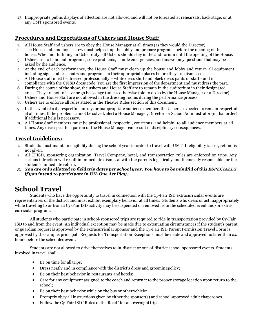13. Inappropriate public displays of affection are not allowed and will not be tolerated at rehearsals, back stage, or at any UMT sponsored events.

#### **Procedures and Expectations of Ushers and House Staff:**

- 1. All House Staff and ushers are to obey the House Manager at all times (as they would the Director).
- 2. The House staff and house crew must help set up the lobby and prepare programs before the opening of the house. When not fulfilling an Usher duty, all Ushers should stay in the auditorium until the opening of the House.
- 3. Ushers are to hand out programs, solve problems, handle emergencies, and answer any questions that may be asked by the audience.
- 4. At the end of each performance, the House Staff must clean up the house and lobby and return all equipment, including signs, tables, chairs and programs to their appropriate places before they are dismissed.
- 5. All House staff must be dressed professionally white dress shirt and black dress pants or skirt and in compliance with the CFISD dress code. You are the first impression of the department and must dress the part.
- 6. During the course of the show, the ushers and House Staff are to remain in the auditorium in their designated areas. They are not to leave or go backstage (unless otherwise told to do so by the House Manager or a Director).
- 7. Ushers and House Staff are not allowed in the dressing rooms during the performance process.
- 8. Ushers are to enforce all rules stated in the Theatre Rules section of this document.
- 9. In the event of a disrespectful, unruly, or inappropriate audience member, the Usher is expected to remain respectful at all times. If the problem cannot be solved, alert a House Manager, Director, or School Administrator (in that order) if additional help is necessary.
- 10. All House Staff members must be professional, respectful, courteous, and helpful to all audience members at all times. Any disrespect to a patron or the House Manager can result in disciplinary consequences.

#### **Travel Guidelines:**

- 1. Students must maintain eligibility during the school year in order to travel with UMT. If eligibility is lost, refund is not given.
- 2. All CFISD, sponsoring organization, Travel Company, hotel, and transportation rules are enforced on trips. Any serious infraction will result in immediate dismissal with the parents logistically and financially responsible for the student's immediate return.
- *3. You are only allotted 10 field trip dates per school year. You have to be mindful of this ESPECIALLY if you intend to participate in UIL One Act Play.*

# **School Travel**

Students who have the opportunity to travel in connection with the Cy-Fair ISD extracurricular events are representatives of the district and must exhibit exemplary behavior at all times. Students who dress or act inappropriately while traveling to or from a Cy-Fair ISD activity may be suspended or removed from the scheduled event and/or extracurricular program.

All students who participate in school-sponsored trips are required to ride in transportation provided by Cy-Fair ISD to and from the event. An individual exception may be made due to extenuating circumstances if the student's parent or guardian request is approved by the extracurricular sponsor and the Cy-Fair ISD Parent Permission Travel Form is approved by the campus principal Requests for Transportation Exceptions must be made and approved no later than 24 hours before the scheduledevent.

Students are not allowed to drive themselves to in-district or out-of-district school-sponsored events. Students involved in travel shall:

- Be on time for all trips;
- Dress neatly and in compliance with the district's dress and groomingpolicy;
- Be on their best behavior in restaurants and hotels:
- Care for any equipment assigned to the coach and return it to the proper storage location upon return to the school;
- Be on their best behavior while on the bus or other vehicle;
- Promptly obey all instructions given by either the sponsor(s) and school-approved adult chaperones.
- Follow the Cy-Fair ISD "Rules of the Road" for all overnighttrips.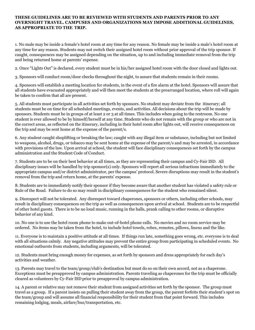#### **THESE GUIDELINES ARE TO BE REVIEWED WITH STUDENTS AND PARENTS PRIOR TO ANY OVERNIGHT TRAVEL. CAMPUSES AND ORGANIZATIONS MAY IMPOSE ADDITIONAL GUIDELINES, AS APPROPRIATE TO THE TRIP.**

1. No male may be inside a female's hotel room at any time for any reason. No female may be inside a male's hotel room at any time for any reason. Students may not switch their assigned hotel room without prior approval of the trip sponsor. If caught, consequences may be assigned depending on the situation, up to and including immediate removal from the trip and being returned home at parents' expense.

2. Once "Lights Out" is declared, every student must be in his/her assigned hotel room with the door closed and lights out.

3. Sponsors will conduct room/door checks throughout the night, to assure that students remain in their rooms.

4. Sponsors will establish a meeting location for students, in the event of a fire alarm at the hotel. Sponsors will assure that all students have evacuated appropriately and will then meet the students at the prearranged location, where roll will again be taken to confirm that all are present.

5. All students must participate in all activities set forth by sponsors. No student may deviate from the itinerary; all students must be on time for all scheduled meetings, events, and activities. All decisions about the trip will be made by sponsors. Students must be in groups of at least 2 or 3 at all times. This includes when going to the restroom. No one student is ever allowed to be by himself/herself at any time. Students who do not remain with the group or who are not in the correct areas, as reflected on the itinerary, including in their hotel room after lights out, will receive consequences on the trip and may be sent home at the expense of the parent/s.

6. Any student caught shoplifting or breaking the law; caught with any illegal item or substance, including but not limited to weapons, alcohol, drugs, or tobacco may be sent home at the expense of the parent/s and may be arrested, in accordance with provisions of the law. Upon arrival at school, the student will face disciplinary consequences set forth by the campus administration and the Student Code of Conduct.

7. Students are to be on their best behavior at all times, as they are representing their campus and Cy-Fair ISD. All disciplinary issues will be handled by trip sponsor(s) only. Sponsors will report all serious infractions immediately to the appropriate campus and/or district administrator, per the campus' protocol. Severe disruptions may result in the student's removal from the trip and return home, at the parents' expense.

8. Students are to immediately notify their sponsor if they become aware that another student has violated a safety rule or Rule of the Road. Failure to do so may result in disciplinary consequences for the student who remained silent.

9. Disrespect will not be tolerated. Any disrespect toward chaperones, sponsors or others, including other schools, may result in disciplinary consequences on the trip as well as consequences upon arrival at school. Students are to be respectful of other hotel guests. There is to be no loud music, running in the halls, prank calling to other rooms, or disruptive behavior of any kind.

10. No one is to use the hotel room phone to make out-of-hotel phone calls. No movies and no room service may be ordered. No items may be taken from the hotel, to include hotel towels, robes, remotes, pillows, linens and the like.

11. Everyone is to maintain a positive attitude at all times. If things run late, something goes wrong, etc. everyone is to deal with all situations calmly. Any negative attitudes may prevent the entire group from participating in scheduled events. No emotional outbursts from students, including arguments, will be tolerated.

12. Students must bring enough money for expenses, as set forth by sponsors and dress appropriately for each day's activities and weather.

13. Parents may travel to the team/group/club's destination but must do so on their own accord, not as a chaperone. Exceptions must be preapproved by campus administration. Parents traveling as chaperones for the trip must be officially cleared as volunteers by Cy-Fair ISD prior to preapproval by campus administration.

14. A parent or relative may not remove their student from assigned activities set forth by the sponsor. The group must travel as a group. If a parent insists on pulling their student away from the group, the parent forfeits their student's spot on the team/group and will assume all financial responsibility for their student from that point forward. This includes remaining lodging, meals, airfare/bus/transportation, etc.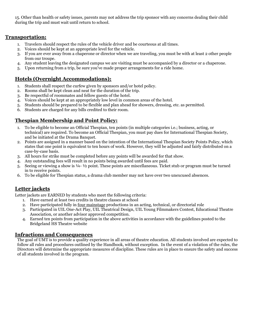15. Other than health or safety issues, parents may not address the trip sponsor with any concerns dealing their child during the trip and must wait until return to school.

#### **Transportation:**

- 1. Travelers should respect the rules of the vehicle driver and be courteous at all times.
- 2. Voices should be kept at an appropriate level for the vehicle.
- 3. If you are ever away from a chaperone or director when we are traveling, you must be with at least 2 other people from our troupe.
- 4. Any student leaving the designated campus we are visiting must be accompanied by a director or a chaperone.
- 5. Upon returning from a trip, be sure you've made proper arrangements for a ride home.

#### **Hotels (Overnight Accommodations):**

- 1. Students shall respect the curfew given by sponsors and/or hotel policy.
- 2. Rooms shall be kept clean and neat for the duration of the trip.
- 3. Be respectful of roommates and fellow guests of the hotel.
- 4. Voices should be kept at an appropriately low level in common areas of the hotel.
- 5. Students should be prepared to be flexible and plan ahead for showers, dressing, etc. as permitted.
- 6. Students are charged for any bills credited to their room.

#### **Thespian Membership and Point Policy:**

- 1. To be eligible to become an Official Thespian, ten points (in multiple categories i.e.; business, acting, or technical) are required. To become an Official Thespian, you must pay dues for International Thespian Society, and be initiated at the Drama Banquet.
- 2. Points are assigned in a manner based on the intention of the International Thespian Society Points Policy, which states that one point is equivalent to ten hours of work. However, they will be adjusted and fairly distributed on a case-by-case basis.
- 3. All hours for strike must be completed before any points will be awarded for that show.
- 4. Any outstanding fees will result in no points being awarded until fees are paid.
- 5. Seeing or viewing a show is ¼- ½ point. These points are miscellaneous. Ticket stub or program must be turned in to receive points.
- 6. To be eligible for Thespian status, a drama club member may not have over two unexcused absences.

#### **Letter jackets**

Letter jackets are EARNED by students who meet the following criteria:

- 1. Have earned at least two credits in theatre classes at school
- 2. Have participated fully in four mainstage productions in an acting, technical, or directorial role
- 3. Participated in UIL One-Act Play, UIL Theatrical Design, UIL Young Filmmakers Contest, Educational Theatre Association, or another advisor approved competition.
- 4. Earned ten points from participation in the above activities in accordance with the guidelines posted to the Bridgeland HS Theatre website

#### **Infractions and Consequences**

The goal of UMT is to provide a quality experience in all areas of theatre education. All students involved are expected to follow all rules and procedures outlined by the Handbook, without exception. In the event of a violation of the rules, the Directors will determine the appropriate measures of discipline. These rules are in place to ensure the safety and success of all students involved in the program.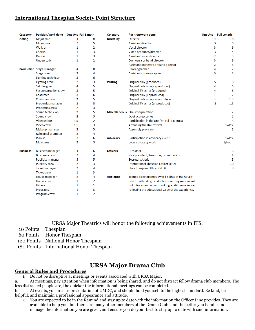#### **International Thespian Society Point Structure**

| Category        | Position/work done   One Act   Full Length |                |                | Category         | <b>Position/work done</b>                            | <b>One Act</b> | <b>Full Length</b>     |
|-----------------|--------------------------------------------|----------------|----------------|------------------|------------------------------------------------------|----------------|------------------------|
| <b>Acting</b>   | <b>Major role</b>                          | 4              | 8              | <b>Directing</b> | <b>Director</b>                                      |                | 4<br>8                 |
|                 | <b>Minor role</b>                          | 3              | 5              |                  | <b>Assistant director</b>                            |                | 3<br>6                 |
|                 | Walk-on                                    | $\mathbf{1}$   | 2              |                  | <b>Vocal director</b>                                |                | 3<br>6                 |
|                 | Chorus                                     | 1              | 3              |                  | Video producer/director                              |                | 3<br>4                 |
|                 | <b>Dancer</b>                              | 1              | 3              |                  | <b>Assistant vocal director</b>                      |                | 5<br>$\overline{2}$    |
|                 | Understudy                                 | 1              | $\overline{2}$ |                  | Orchestra or band director                           |                | 3<br>6                 |
|                 |                                            |                |                |                  | Assistant orchestra or band director                 |                | $\overline{2}$<br>5    |
|                 | <b>Production</b> Stage manager            | 4              | 8              |                  | Choreographer                                        |                | 4<br>7                 |
|                 | <b>Stage crew</b>                          | 2              | 4              |                  | Assistant choreographer                              |                | 3<br>5                 |
|                 | Lighting technician                        | 3              | 6              |                  |                                                      |                |                        |
|                 | <b>Lighting crew</b>                       | 2              | 3              | <b>Writing</b>   | Original play (produced)                             |                | 5<br>8                 |
|                 | Set designer                               | 4              | 5              |                  | Original radio script (produced)                     |                | 4<br>6                 |
|                 | Set construction crew                      | 3              | 5              |                  | Original TV script (produced)                        |                | 6<br>4                 |
|                 | Costumer                                   | 3              | 6              |                  | Original play (unproduced)                           |                | $\overline{2}$<br>1    |
|                 | Costume crew                               | 2              | 5              |                  | Original radio script (unproduced)                   |                | $.5\phantom{0}$<br>1.5 |
|                 | <b>Properties manager</b>                  | 3              | 5              |                  | Original TV script (unproduced)                      |                | .5<br>1.5              |
|                 | <b>Properties crew</b>                     | 2              | 3              |                  |                                                      |                |                        |
|                 | Sound technician                           | 3              | 5              |                  | Miscellaneous Oral interpretation                    |                | $\overline{2}$         |
|                 | Sound crew                                 | $\overline{2}$ | 3              |                  | <b>Duet acting scenes</b>                            |                | $\overline{2}$         |
|                 | Video editor                               | 1.5            | 2              |                  | Participation in theatre festival or contest         |                | $\overline{3}$         |
|                 | Video crew                                 | 1.5            | 3              |                  | <b>Attending theatre festival</b>                    |                | $1$ /day               |
|                 | Makeup manager                             | 3              | 5              |                  | <b>Assembly program</b>                              |                | 1                      |
|                 | <b>Rehearsal prompter</b>                  | $\overline{2}$ | 4              |                  |                                                      |                |                        |
|                 | Pianist                                    | 3              | 6              | <b>Advocacy</b>  | Participation in advocacy event                      |                | $1$ /day               |
|                 | <b>Musicians</b>                           | $\overline{2}$ | 3              |                  | Local advocacy work                                  |                | .1/hour                |
| <b>Business</b> | <b>Business manager</b>                    | 4              | 6              | <b>Officers</b>  | President                                            |                | 6                      |
|                 | <b>Business crew</b>                       | 2              | 4              |                  | Vice president, treasurer, or web editor             |                | 4                      |
|                 | <b>Publicity manager</b>                   | 3              | 5              |                  | Secretary/clerk                                      |                | 5                      |
|                 | <b>Publicity crew</b>                      | 2              | 3              |                  | International Thespian Officer (ITO)                 |                | 10                     |
|                 | <b>Ticket manager</b>                      | 2              | 4              |                  | <b>State Thespian Officer (STO)</b>                  |                | 8                      |
|                 | <b>Ticket crew</b>                         | 1              | 3              |                  |                                                      |                |                        |
|                 | House manager                              | 2              | 4              | <b>Audience</b>  | Troupe directors may award points at the hourly      |                |                        |
|                 | House crew                                 | 1              | 2              |                  | rate for attending productions, or they may award .5 |                |                        |
|                 | <b>Ushers</b>                              | 1              | $\overline{2}$ |                  | point for attending and writing a critique or report |                |                        |
|                 | Programs                                   | 1              | 3              |                  | reflecting the educational value of the experience.  |                |                        |
|                 | <b>Program crew</b>                        | 1              | $\overline{2}$ |                  |                                                      |                |                        |

URSA Major Theatrics will honor the following achievements in ITS:

| 10 Points   Thespian |                                           |
|----------------------|-------------------------------------------|
|                      | 60 Points   Honor Thespian                |
|                      | 120 Points   National Honor Thespian      |
|                      | 180 Points   International Honor Thespian |

## **URSA Major Drama Club**

#### **General Rules and Procedures**

1. Do not be disruptive at meetings or events associated with URSA Major.

a. At meetings, pay attention when information is being shared, and do not distract fellow drama club members. The less distracted people are, the quicker the informational meetings can be completed.

b. At events, you are a representation of UMDC, and should hold yourself to the highest standard. Be kind, be helpful, and maintain a professional appearance and attitude.

2. You are expected to be in the Remind and stay up to date with the information the Officer Line provides. They are available to help you, but there are many other members of the Drama Club, and the better you handle and manage the information you are given, and ensure you do your best to stay up to date with said information.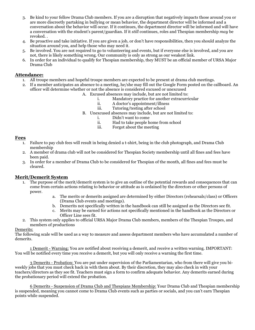- 3. Be kind to your fellow Drama Club members. If you are a disruption that negatively impacts those around you or are more discreetly partaking in bullying or mean behavior, the department director will be informed and a conversation about the behavior will occur. If it continues, the department director will be informed and will have a conversation with the student's parent/guardian. If it *still* continues, roles and Thespian membership *may* be revoked. .
- 4. Be proactive and take initiative. If you are given a job, or don't have responsibilities, then you should analyze the situation around you, and help those who may need it.
- 5. Be involved. You are not required to go to volunteering and events, but if everyone else is involved, and you are not, there is likely something wrong. Our community is only as strong as our weakest link.
- 6. In order for an individual to qualify for Thespian membership, they MUST be an official member of URSA Major Drama Club

#### **Attendance:**

- 1. All troupe members and hopeful troupe members are expected to be present at drama club meetings.
- 2. If a member anticipates an absence to a meeting, he/she may fill out the Google Form posted on the callboard. An officer will determine whether or not the absence is considered excused or unexcused
	- A. Excused absences may include, but are not limited to:
		- i. Mandatory practice for another extracurricular<br>ii. A doctor's appointment/illness
		- ii. A doctor's appointment/illness<br>iii. Tutoring/testing after school
		- Tutoring/testing after school
		- B. Unexcused absences may include, but are not limited to:
			- i. Didn't want to come
			- ii. Had to take people home from school
			- iii. Forgot about the meeting

#### **Fees**

- 1. Failure to pay club fees will result in being denied a t-shirt, being in the club photograph, and Drama Club membership
- 2. A member of drama club will not be considered for Thespian Society membership until all fines and fees have been paid.
- 3. In order for a member of Drama Club to be considered for Thespian of the month, all fines and fees must be cleared.

#### **Merit/Demerit System**

- 1. The purpose of the merit/demerit system is to give an outline of the potential rewards and consequences that can come from certain actions relating to behavior or attitude as is ordained by the directors or other persons of power.
	- a. The merits or demerits assigned are determined by either Directors (rehearsals/class) or Officers (Drama Club events and meetings).
	- b. Demerits not specifically written in the handbook can still be assigned as the Directors see fit.
	- c. Merits may be earned for actions not specifically mentioned in the handbook as the Directors or Officer Line sees fit.
- 2. This system only applies to official URSA Major Drama Club members, members of the Thespian Troupes, and members of productions

#### Demerits:

The following scale will be used as a way to measure and assess department members who have accumulated a number of demerits.

1 Demerit - Warning: You are notified about receiving a demerit, and receive a written warning. IMPORTANT: You will be notified every time you receive a demerit, but you will only receive a warning the first time.

3 Demerits - Probation: You are put under supervision of the Parliamentarian, who from there will give you biweekly jobs that you must check back in with them about. By their discretion, they may also check in with your teachers/directors as they see fit. Teachers must sign a form to confirm adequate behavior. Any demerits earned during the probationary period will extend the probation.

6 Demerits - Suspension of Drama Club and Thespians Membership: Your Drama Club and Thespian membership is suspended, meaning you cannot come to Drama Club events such as parties or socials, and you can't earn Thespian points while suspended.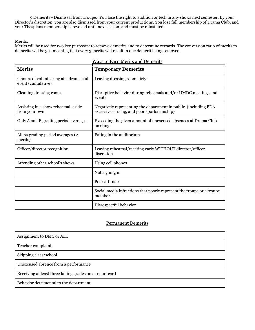9 Demerits - Dismissal from Troupe: You lose the right to audition or tech in any shows next semester. By your Director's discretion, you are also dismissed from your current productions. You lose full membership of Drama Club, and your Thespians membership is revoked until next season, and must be reinstated.

Merits:

Merits will be used for two key purposes: to remove demerits and to determine rewards. The conversion ratio of merits to demerits will be 3:1, meaning that every 3 merits will result in one demerit being removed.

| <b>Merits</b>                                                 | <b>Temporary Demerits</b>                                                                                      |
|---------------------------------------------------------------|----------------------------------------------------------------------------------------------------------------|
| 2 hours of volunteering at a drama club<br>event (cumulative) | Leaving dressing room dirty                                                                                    |
| Cleaning dressing room                                        | Disruptive behavior during rehearsals and/or UMDC meetings and<br>events                                       |
| Assisting in a show rehearsal, aside<br>from your own         | Negatively representing the department in public (including PDA,<br>excessive cursing, and poor sportsmanship) |
| Only A and B grading period averages                          | Exceeding the given amount of unexcused absences at Drama Club<br>meeting                                      |
| All As grading period averages (2<br>merits)                  | Eating in the auditorium                                                                                       |
| Officer/director recognition                                  | Leaving rehearsal/meeting early WITHOUT director/officer<br>discretion                                         |
| Attending other school's shows                                | Using cell phones                                                                                              |
|                                                               | Not signing in                                                                                                 |
|                                                               | Poor attitude                                                                                                  |
|                                                               | Social media infractions that poorly represent the troupe or a troupe<br>member                                |
|                                                               | Disrespectful behavior                                                                                         |

| Ways to Earn Merits and Demerits |
|----------------------------------|
|----------------------------------|

#### Permanent Demerits

| Assignment to DMC or ALC                                 |  |  |
|----------------------------------------------------------|--|--|
| Teacher complaint                                        |  |  |
| Skipping class/school                                    |  |  |
| Unexcused absence from a performance                     |  |  |
| Receiving at least three failing grades on a report card |  |  |
| Behavior detrimental to the department                   |  |  |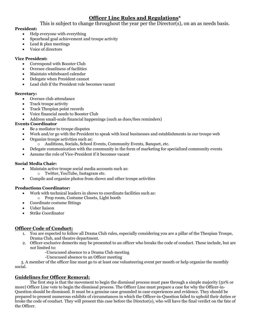#### **Officer Line Rules and Regulations\***

This is subject to change throughout the year per the Director(s), on an as needs basis.

#### **President:**

- Help everyone with everything
- Spearhead goal achievement and troupe activity
- Lead & plan meetings
- Voice of directors

#### **Vice President:**

- Correspond with Booster Club
- Oversee cleanliness of facilities
- Maintain whiteboard calendar
- Delegate when President cannot
- Lead club if the President role becomes vacant

#### **Secretary:**

- Oversee club attendance
- Track troupe activity
- Track Thespian point records
- Voice financial needs to Booster Club
- Address small-scale financial happenings (such as dues/fees reminders)

#### **Events Coordinator**

- Be a mediator to troupe disputes
- Work and/or go with the President to speak with local businesses and establishments in our troupe web
- Organize troupe activities such as:
	- o Auditions, Socials, School Events, Community Events, Banquet, etc.
- Delegate communication with the community in the form of marketing for specialized community events
- Assume the role of Vice-President if it becomes vacant

#### **Social Media Chair:**

- Maintain active troupe social media accounts such as:
	- o Twitter, YouTube, Instagram etc.
- Compile and organize photos from shows and other troupe activities

#### **Productions Coordinator:**

- Work with technical leaders in shows to coordinate facilities such as:
- o Prop room, Costume Closets, Light booth
- Coordinate costume fittings
- Usher liaison
- Strike Coordinator

#### **Officer Code of Conduct:**

- 1. You are expected to follow all Drama Club rules, especially considering you are a pillar of the Thespian Troupe, Drama Club, and theatre department.
- 2. Officer-exclusive demerits may be presented to an officer who breaks the code of conduct. These include, but are *not* limited to:
	- -Unexcused absence to a Drama Club meeting
	- -Unexcused absence to an Officer meeting

 3. A member of the officer line must go to at least one volunteering event per month or help organize the monthly social.

#### **Guidelines for Officer Removal:**

The first step is that the movement to begin the dismissal process must pass through a simple majority (50% or more) Officer Line vote to begin the dismissal process. The Officer Line must prepare a case for why the Officer-in-Question should be dismissed. It must be a genuine case grounded in case experiences and evidence. They should be prepared to present numerous exhibits of circumstances in which the Officer-in-Question failed to uphold their duties or broke the code of conduct. They will present this case before the Director(s), who will have the final verdict on the fate of the Officer.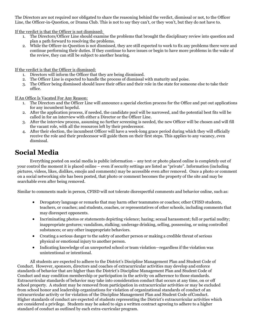The Directors are not required nor obligated to share the reasoning behind the verdict, dismissal or not, to the Officer Line, the Officer-in-Question, or Drama Club. This is not to say they can't, or they won't, but they do not have to.

If the verdict is that the Officer is not dismissed:

- 1. The Directors/Officer Line should examine the problems that brought the disciplinary review into question and plan a path forward to resolving the problems.
- 2. While the Officer-in-Question is not dismissed, they are still expected to work to fix any problems there were and continue performing their duties. If they continue to have issues or begin to have more problems in the wake of the review, they can still be subject to another hearing.

If the verdict is that the Officer is dismissed:

- 1. Directors will inform the Officer that they are being dismissed.
- 2. The Officer Line is expected to handle the process of dismissal with maturity and poise.
- 3. The Officer being dismissed should leave their office and their role in the state for someone else to take their office.

If An Office Is Vacated For Any Reason:

- 1. The Directors and the Officer Line will announce a special election process for the Office and put out applications for any incumbent hopeful.
- 2. After the application process, if needed, the candidate pool will be narrowed, and the potential best fits will be called in for an interview with either a Director or the Officer Line.
- 3. After the interview process, assuming no further screening is needed, the new Officer will be chosen and will fill the vacant role, with all the resources left by their predecessor.
- 4. After their election, the incumbent Officer will have a week-long grace period during which they will officially receive the role and their predecessor will guide them on their first steps. This applies to any vacancy, even dismissal.

# **Social Media**

Everything posted on social media is public information – any text or photo placed online is completely out of your control the moment it is placed online – even if security settings are listed as "private". Information (including pictures, videos, likes, dislikes, emojis and comments) may be accessible even after removed. Once a photo or comment on a social networking site has been posted, that photo or comment becomes the property of the site and may be searchable even after being removed.

Similar to comments made in person, CFISD will not tolerate disrespectful comments and behavior online, such as:

- Derogatory language or remarks that may harm other teammates or coaches; other CFISD students, teachers, or coaches; and students, coaches, or representatives of other schools, including comments that may disrespect opponents.
- Incriminating photos or statements depicting violence; hazing; sexual harassment; full or partial nudity; inappropriate gestures; vandalism, stalking; underage drinking, selling, possessing, or using controlled substances; or any other inappropriate behaviors.
- Creating a serious danger to the safety of another person or making a credible threat of serious physical or emotional injury to another person.
- Indicating knowledge of an unreported school or team violation—regardless if the violation was unintentional or intentional.

All students are expected to adhere to the District's Discipline Management Plan and Student Code of Conduct. However, sponsors, directors and coaches of extracurricular activities may develop and enforce standards of behavior that are higher than the District's Discipline Management Plan and Student Code of Conduct and may condition membership or participation in the activity on adherence to those standards. Extracurricular standards of behavior may take into consideration conduct that occurs at any time, on or off school property. A student may be removed from participation in extracurricular activities or may be excluded from school honor and leadership organizations for violation of organizational standards of conduct of an extracurricular activity or for violation of the Discipline Management Plan and Student Code ofConduct. Higher standards of conduct are expected of students representing the District's extracurricular activities which are considered a privilege. Students may be asked to sign a written contract agreeing to adhere to a higher standard of conduct as outlined by each extra-curricular program.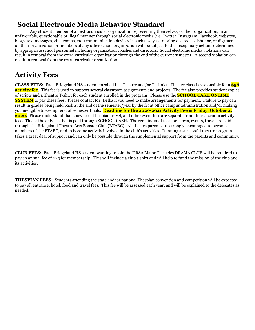# **Social Electronic Media Behavior Standard**

Any student member of an extracurricular organization representing themselves, or their organization, in an unfavorable, questionable or illegal manner through social electronic media (i.e. Twitter, Instagram, Facebook, websites, blogs, text messages, chat rooms, etc.) communication devices in such a way as to bring discredit, dishonor, or disgrace on their organization or members of any other school organization will be subject to the disciplinary actions determined by appropriate school personnel including organization coachesand directors. Social electronic media violations can result in removal from the extra-curricular organization through the end of the current semester. A second violation can result in removal from the extra-curricular organization.

# **Activity Fees**

**CLASS FEES:** Each Bridgeland HS student enrolled in a Theatre and/or Technical Theatre class is responsible for a **\$56 activity fee**. This fee is used to support several classroom assignments and projects. The fee also provides student copies of scripts and a Theatre T-shirt for each student enrolled in the program. Please use the **SCHOOL CASH ONLINE SYSTEM** to pay these fees. Please contact Mr. Delka if you need to make arrangements for payment. Failure to pay can result in grades being held back at the end of the semester/year by the front office campus administration and/or making you ineligible to exempt end of semester finals. **Deadline for the 2020-2021 Activity Fee is Friday, October 2, 2020.** Please understand that show fees, Thespian travel, and other event fees are separate from the classroom activity fees. This is the only fee that is paid through SCHOOL CASH. The remainder of fees for shows, events, travel are paid through the Bridgeland Theatre Arts Booster Club (BTABC). All theatre parents are strongly encouraged to become members of the BTABC, and to become actively involved in the club's activities. Running a successful theatre program takes a great deal of support and can only be possible through the supplemental support from the parents and community.

**CLUB FEES:** Each Bridgeland HS student wanting to join the URSA Major Theatrics DRAMA CLUB will be required to pay an annual fee of \$25 for membership. This will include a club t-shirt and will help to fund the mission of the club and its activities.

**THESPIAN FEES:** Students attending the state and/or national Thespian convention and competition will be expected to pay all entrance, hotel, food and travel fees. This fee will be assessed each year, and will be explained to the delegates as needed.